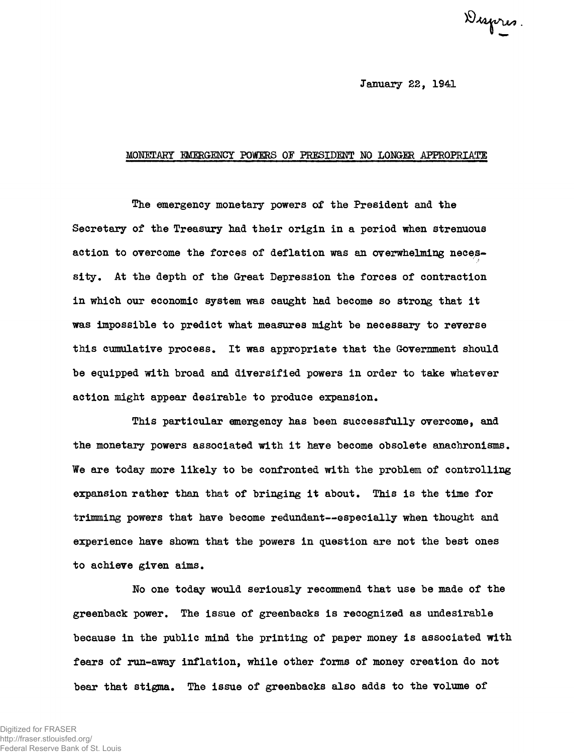Dupres.

January 22, 1941

## MONETARY MffiGEHCY POWERS OF PRESIDENT MO LONGER APPROPRIATE

The emergency monetary powers of the President and the Secretary of the Treasury had their origin in a period when strenuous action to overcome the forces of deflation was an overwhelming necessity. At the depth of the Great Depression the forces of contraction in which our economic system was caught had become so strong that it was impossible to predict what measures might be necessary to reverse this cumulative process. It was appropriate that the Government should be equipped with broad and diversified powers in order to take whatever action might appear desirable to produce expansion.

This particular emergency has been successfully overcome, and the monetary powers associated with it have become obsolete anachronisms . We are today more likely to be confronted with the problem of controlling expansion rather than that of bringing it about. This is the time for trimming powers that have become redundant—especially when thought and experience have shown that the powers in question are not the best ones to achieve given aims.

No one today would seriously recommend that use be made of the greenback power. The issue of greenbacks is recognized as undesirable because in the public mind the printing of paper money is associated with fears of run-away inflation, while other forms of money creation do not bear that stigma. The issue of greenbacks also adds to the volume of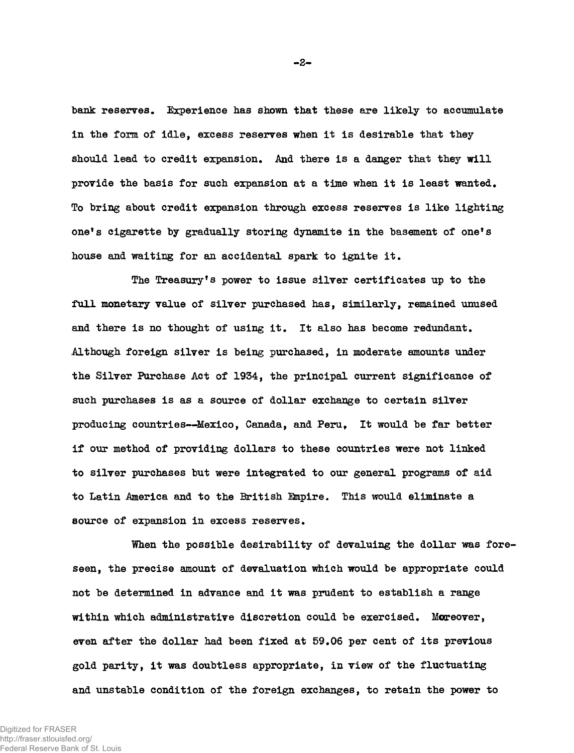bank reserves. Experience has shown that these are likely to accumulate in the form of idle, excess reserves when it is desirable that they should lead to credit expansion. And there is a danger that they will provide the basis for such expansion at a time when it is least wanted. To bring about credit expansion through excess reserves is like lighting one's cigarette by gradually storing dynamite in the basement of one's house and waiting for an accidental spark to ignite it.

The Treasury's power to issue silver certificates up to the full monetary value of silver purchased has, similarly, remained unused and there is no thought of using it. It also has become redundant. .Although foreign silver is being purchased, in moderate amounts under the Silver Purchase Act of 1934, the principal current significance of such purchases is as a source of dollar exchange to certain silver producing countries—Mexico, Canada, and Peru, It would be far better if our method of providing dollars to these countries were not linked to silver purchases but were integrated to our general programs of aid to Latin America and to the British Bapire. This would eliminate a source of expansion in excess reserves.

When the possible desirability of devaluing the dollar was foreseen, the precise amount of devaluation which would be appropriate could not be determined in advance and it was prudent to establish a range within which administrative discretion could be exercised. Moreover, even after the dollar had been fixed at 59.06 per cent of its previous gold parity, it was doubtless appropriate, in view of the fluctuating and unstable condition of the foreign exchanges, to retain the power to

-2-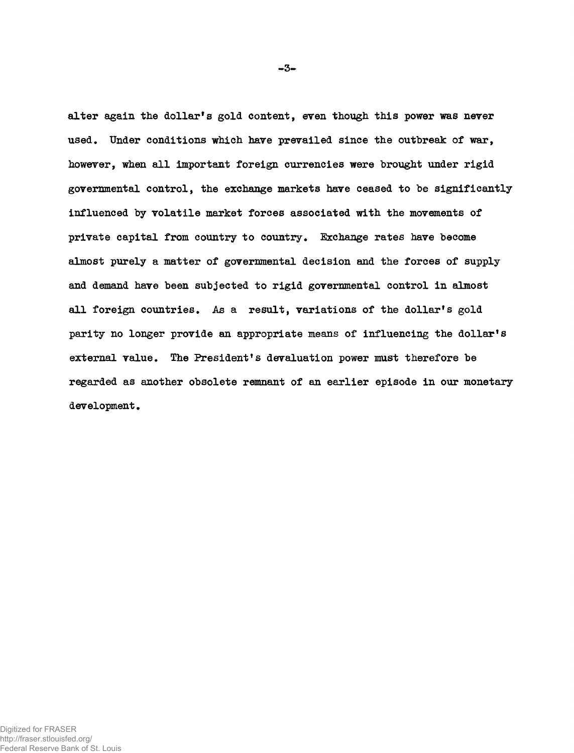alter again the dollar's gold content, even though this power was never used. Under conditions which have prevailed since the outbreak of war, however, when all important foreign currencies were brought under rigid governmental control, the exchange markets have ceased to be significantlyinfluenced by volatile market forces associated with the movements of private capital from country to country. Exchange rates have become almost purely a matter of governmental decision and the forces of supply and demand have been subjected to rigid governmental control in almost all foreign countries. As a result, variations of the dollar's gold parity no longer provide an appropriate means of influencing the dollar's external value. The President's devaluation power must therefore be regarded as another obsolete remnant of an earlier episode in our monetary development.